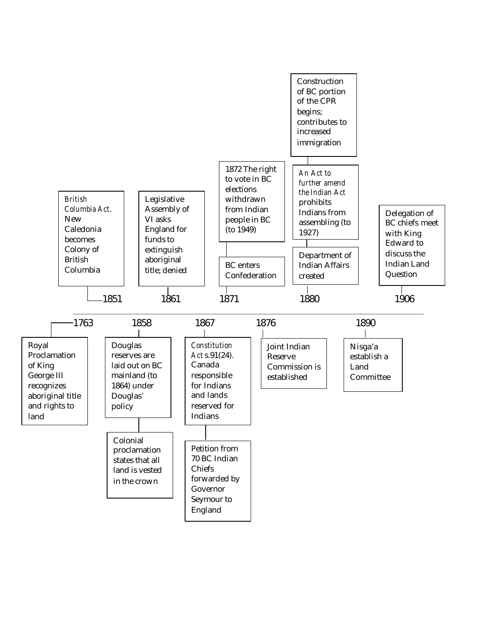